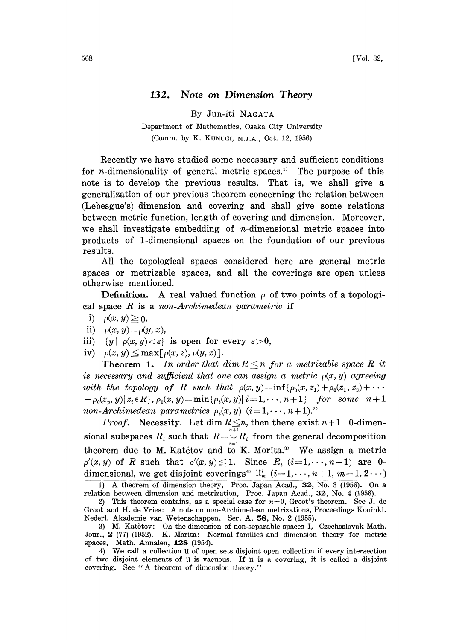## 132. Note on Dimension Theory

By Jun-iti NAGATA

Department of Mathematics, Osaka City University (Comm. by K. KUNUGI, M.J.A., Oct. 12, 1956)

Recently we have studied some necessary and sufficient conditions for *n*-dimensionality of general metric spaces.<sup>11</sup> The purpose of this note is to develop the previous results. That is, we shall give a generalization of our previous theorem concerning the relation between (Lebesgue's) dimension and covering and shall give some relations between metric function, length of covering and dimension. Moreover, we shall investigate embedding of *n*-dimensional metric spaces into products of 1-dimensional spaces on the foundation of our previous results.

All the topological spaces considered here are general metric spaces or metrizable spaces, and all the coverings are open unless otherwise mentioned.

**Definition.** A real valued function  $\rho$  of two points of a topological space  $R$  is a non-Archimedean parametric if

- i)  $\rho(x, y) \geq 0$ ,
- ii)  $\rho(x,y) = \rho(y,x)$ ,
- iii)  $\{y \mid \rho(x,y) < \varepsilon\}$  is open for every  $\varepsilon > 0$ ,
- iv)  $\rho(x, y) \leq \max[\rho(x, z), \rho(y, z)].$

**Theorem 1.** In order that  $\dim R \leq n$  for a metrizable space R it is necessary and sufficient that one can assign a metric  $\rho(x, y)$  agreeing with the topology of R such that  $\rho(x, y) = \inf \{ \rho_0(x, z_1) + \rho_0(z_1, z_2) + \cdots$  $+ \rho_0(z_n, y) | z_i \in R$ ,  $\rho_0(x, y) = \min{\rho_i(x, y)} i = 1, \dots, n + 1$  for some  $n + 1$ non-Archimedean parametrics  $\rho_i(x, y)$   $(i=1,\dots, n+1).^{2}$ 

*Proof.* Necessity. Let dim  $R \leq n$ , then there exist  $n+1$  0-dimensional subspaces  $R_i$  such that  $R = \bigcup_{i=1}^{n+1} R_i$  from the general decomposition<br>theorem due to M. Katětov and to K. Morita.<sup>3)</sup> We assign a metric  $\rho'(x, y)$  of R such that  $\rho'(x, y) \leq 1$ . Since  $R_i$  (i=1,..., n+1) are 0dimensional, we get disjoint coverings<sup>4)</sup>  $\mathfrak{u}_m^i$  ( $i=1,\dots, n+1, m=1, 2 \cdots$ )

1) A theorem of dimension theory, Proc. Japan Acad., 32, No. <sup>3</sup> (1956). On a relation between dimension and metrization, Proc. Japan Acad., 32, No. 4 (1956).

4) We call <sup>a</sup> collection 1I of open sets disjoint open collection if every intersection of two disjoint elements of 1I is vacuous. If 1I is a covering, it is called a disjoint covering. See "A theorem of dimension theory."

<sup>2)</sup> This theorem contains, as a special case for  $n=0$ , Groot's theorem. See J. de Groot and H. de Vries: A note on non-Archimedean metrizations, Proceedings Koninkl. Nederl. Akademie van Wetenschappen, Ser. A, 58, No. 2 (1955).

<sup>3)</sup> M. Katětov: On the dimension of non-separable spaces I, Czechoslovak Math. Jour., 2 (77) (1952). K. Morita: Normal families and dimension theory for metric spaces, Math. Annalen, 128 (1954).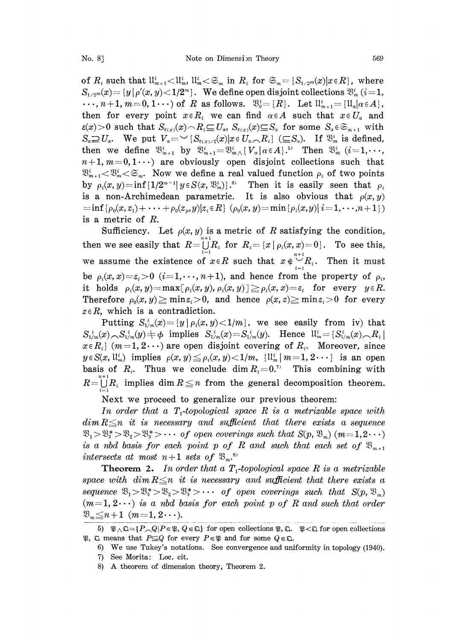of  $R_i$  such that  $\mathfrak{U}_{m+1}^i<\mathfrak{U}_m^i$ ,  $\mathfrak{U}_m^i<\mathfrak{S}_m$  in  $R_i$  for  $\mathfrak{S}_m=\{S_{1/2^m}(x)|x\in R\}$ , where  $S_{1/2}(x)=(y|\rho'(x, y)-1/2^{m})$ . We define open disjoint collections  $\mathfrak{B}_{m}^{i}$  (i=1,  $\cdots$ ,  $n+1$ ,  $m=0$ ,  $1 \cdots$ ) of R as follows.  $\mathfrak{B}_{0}^{i}=[R]$ . Let  $\mathfrak{U}_{m+1}^{i}=[\mathfrak{U}_{\alpha}]\alpha \in A$ , then for every point  $x \in R_i$  we can find  $\alpha \in A$  such that  $x \in U_a$  and  $\varepsilon(x)>0$  such that  $S_{\varepsilon(x)}(x)\cap R_i\subseteq U_a$ ,  $S_{\varepsilon(x)}(x)\subseteq S_a$  for some  $S_a\in\mathfrak{S}_{m+1}$  with  $S_a \supseteq U_a$ . We put  $V_a = \bigcup_{\{S_{\varepsilon(x)},(x')\}} S_{\varepsilon(x)}$   $\bigcup_{\{S_{\varepsilon(x)},(x')\}} S_{\varepsilon(x')}$  ( $\bigcup_{S_a} S_a$ ). If  $\mathfrak{B}_{m}^i$  is defined,<br>then we define  $\mathfrak{B}_{m+1}^i$  by  $\mathfrak{B}_{m+1}^i = \mathfrak{B}_{m}^i \setminus \{V_a | \alpha \in A\}$ .<sup>55</sup> Then  $\mathfrak{B}_{$  $=\mathbb{E}_{m\wedge\{V_{\alpha}\}\alpha\in A\}}^{i}$ . Then  $\mathbb{E}_{m}^{i}$  ( $i=1,\cdots$ <br>  $\alpha$  open disjoint collections such that<br>  $\alpha$  a real valued function  $\rho_{i}$  of two point<br>  $\alpha_{m}^{i}$ ).<sup>6</sup> Then it is easily seen that  $n+1, m=0,1 \cdots$  are obviously open disjoint collections such that  $\mathfrak{B}_{m+1}^i < \mathfrak{B}_m^i < \mathfrak{S}_m$ . Now we define a real valued function  $\rho_i$  of two points by  $\rho_i(x, y) = \inf\{1/2^{m-1}|y \in S(x, \mathfrak{B}_m^i)\}\,$ .<sup>6</sup> Then it is easily seen that is a non-Archimedean parametric. It is also obvious that  $\rho(x, y)$  $=\inf \{\rho_0(x,z_1)+\cdots+\rho_0(z_n,y)|z_i\in R\}\ (\rho_0(x,y)=\min \{\rho_i(x,y)|\ i=1,\cdots,n+1\})$ is a metric of R.

Sufficiency. Let  $\rho(x, y)$  is a metric of R satisfying the condition,<br>then we see easily that  $R = \bigcup_{i=1}^{n+1} R_i$  for  $R_i = \{x \mid \rho_i(x, x) = 0\}$ . To see this,<br>we assume the existence of  $x \in R$  such that  $x \notin \bigcup_{i=1}^{n+1} R_i$ . T be  $\rho_i(x,x)=\varepsilon_i>0$   $(i=1,\dots,n+1)$ , and hence from the property of  $\rho_i$ , it holds  $\rho_i(x,y) = \max[\rho_i(x,y), \rho_i(x,y)] \ge \rho_i(x,x) = \varepsilon_i$  for every  $y \in R$ . Therefore  $\rho_0(x, y) \ge \min \varepsilon_i > 0$ , and hence  $\rho(x, z) \ge \min \varepsilon_i > 0$  for every  $z \in R$ , which is a contradiction.

Putting  $S_{1/m}^i(x) = \{y \mid \rho_i(x, y) < 1/m\}$ , we see easily from iv) that  $S_{1/m}^i(x) \sim S_{1/m}^i(y) \neq \phi$  implies  $S_{1/m}^i(x) = S_{1/m}^i(y)$ . Hence  $\mathcal{U}_m^i = \{S_{1/m}^i(x) \sim R_i\}$  $x \in R_i$  (m=1,2...) are open disjoint covering of  $R_i$ . Moreover, since  $y \in S(x, \mathbb{U}_m^i)$  implies  $\rho(x, y) \leq \rho_i(x, y) < 1/m$ ,  $\{\mathbb{U}_m^i | m=1, 2 \cdots\}$  is an open basis of  $R_i$ . Thus we conclude dim  $R_i = 0$ .<sup>7</sup> This combining with  $R = \bigcup_{i=1}^{n+1} R_i$  implies dim  $R \leq n$  from the general decomposition theorem.

Next we proceed to generalize our previous theorem:

In order that a  $T_1$ -topological space R is a metrizable space with  $dim R \leq n$  it is necessary and sufficient that there exists a sequence  $\mathfrak{B}_1 > \mathfrak{B}_2^* > \mathfrak{B}_2 > \mathfrak{B}_3^* > \cdots$  of open coverings such that  $S(p, \mathfrak{B}_m)$  (m=1,2 $\cdots$ ) is a nbd basis for each point p of R and such that each set of  $\mathfrak{B}_{m+1}$ intersects at most  $n+1$  sets of  $\mathfrak{B}_{m}$ .<sup>8)</sup>

**Theorem 2.** In order that a  $T_1$ -topological space R is a metrizable space with dim  $R\leq n$  it is necessary and sufficient that there exists a sequence  $\mathfrak{B}_1 > \mathfrak{B}_2^* > \mathfrak{B}_3 > \mathfrak{B}_3^* > \cdots$  of open coverings such that  $S(p, \mathfrak{B}_m)$  $(m=1, 2 \cdots)$  is a nbd basis for each point p of R and such that order  $\mathfrak{B}_{m} \leq n+1$  (m=1, 2...).

<sup>5)</sup>  $\mathcal{B} \wedge \mathcal{D} = \{P \cap Q | P \in \mathcal{B}, Q \in \mathcal{D}\}\$  for open collections  $\mathcal{B}, \mathcal{D}, \mathcal{B} \leq \mathcal{D}\}$  for open collections  $\mathfrak{P}, \mathfrak{Q}$  means that  $P \subseteq Q$  for every  $P \in \mathfrak{P}$  and for some  $Q \in \mathfrak{Q}$ .

<sup>6)</sup> We use Tukey's notations. See convergence and uniformity in topology (1940).

<sup>7)</sup> See Morita: Loc. cit.

<sup>8)</sup> A theorem of dimension theory, Theorem 2.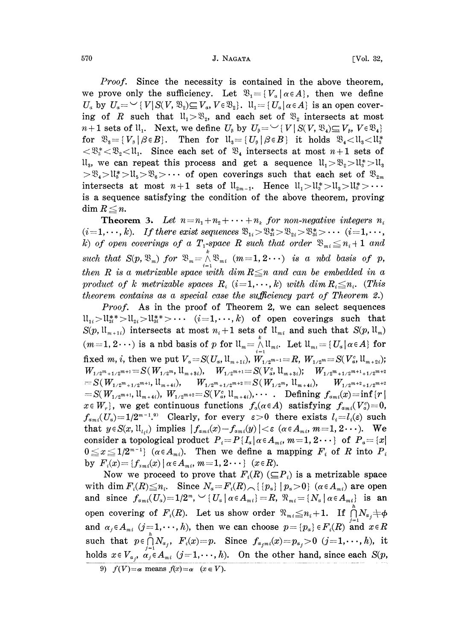570 **J. NAGATA J. NAGATA** [Vol. 32,

Proof. Since the necessity is contained in the above theorem, we prove only the sufficiency. Let  $\mathfrak{B}_1 = \{V_a \mid a \in A\}$ , then we define  $U_a$  by  $U_a = \bigcup \{V | S(V, \mathfrak{B}_2) \subseteq V_a, V \in \mathfrak{B}_2\}.$   $\mathfrak{U}_1 = \{U_a | a \in A\}$  is an open covering of R such that  $\mathfrak{u}_1 > \mathfrak{B}_2$ , and each set of  $\mathfrak{B}_2$  intersects at most *n*+1 sets of  $ll_1$ . Next, we define  $U_{\beta}$  by  $U_{\beta} = \bigcup \{V | S(V, \mathfrak{B}_4) \subseteq V_{\beta},$ <br>for  $\mathfrak{B}_3 = \{V_{\beta} | \beta \in B\}$ . Then for  $\mathfrak{U}_3 = \{U_{\beta} | \beta \in B\}$  it holds  $\mathfrak{B}_4 <$ <br> $\leq \mathfrak{B}^* \leq \mathfrak{B} > 1$ . Since each set of  $\$ for  $\mathfrak{B}_{3} = \{V_{\beta} | \beta \in B\}$ . Then for  $\mathfrak{U}_{3} = \{U_{\beta} | \beta \in B\}$  it holds  $\mathfrak{B}_{4} < \mathfrak{U}_{3} < \mathfrak{U}_{3} < \mathfrak{U}_{4}$ .<br>  $\langle \mathfrak{B}_{3} \times \mathfrak{B}_{2} \rangle = \mathfrak{U}_{1}$ . Since each set of  $\mathfrak{B}_{4}$  intersects at most  $n+1$  sets  $ll_3$ , we can repeat this process and get a sequence  $ll_1 > \mathcal{B}_2 > \mathcal{U}_3^* > \mathcal{U}_3$  $> \mathfrak{B}_4 > \mathfrak{U}_5 > \mathfrak{U}_5 > \mathfrak{B}_6 > \cdots$  of open coverings such that each set of  $\mathfrak{B}_{2m}$ intersects at most  $n+1$  sets of  $\mathfrak{U}_{2m-1}$ . Hence  $\mathfrak{U}_1>\mathfrak{U}_3>\mathfrak{U}_3>\mathfrak{U}_3>\cdots$ is a sequence satisfying the condition of the above theorem, proving  $\dim R \leq n$ .

**Theorem 3.** Let  $n = n_1 + n_2 + \cdots + n_k$  for non-negative integers  $n_i$  $(i=1,\dots,k)$ . If there exist sequences  $\mathfrak{B}_{1i} > \mathfrak{B}_{2i}^* > \mathfrak{B}_{2i} > \mathfrak{B}_{3i}^* > \cdots$   $(i=1,\dots,k)$ . k) of open coverings of a  $T_1$ -space R such that order  $\mathfrak{B}_{m_i} \leq n_i + 1$  and such that  $S(p, \mathfrak{B}_m)$  for  $\mathfrak{B}_m = \bigwedge_{i=1}^k \mathfrak{B}_{m_i}$   $(m=1,2\cdots)$  is a nbd basis of p, then R is a metrizable space with dim  $R \leq n$  and can be embedded in a product of k metrizable spaces  $R_i$   $(i=1,\dots,k)$  with  $\dim R_i \leq n_i$ . (This theorem contains as a special case the sufficiency part of Theorem 2.)

Proof. As in the proof of Theorem 2, we can select sequences  $l_1: l_{2i} > l_{2i}^* > l_{2i} > l_{3i}^* > \cdots$  (i=1, ..., k) of open coverings such that  $S(p, \mathfrak{U}_{m+1})$  intersects at most  $n_i+1$  sets of  $\mathfrak{U}_{m_i}$  and such that  $S(p, \mathfrak{U}_m)$  $(m=1, 2 \cdots)$  is a nbd basis of p for  $\mathfrak{U}_m = \bigwedge_{i=1}^n \mathfrak{U}_{m_i}$ . Let  $\mathfrak{U}_{m_i} = \{U_a | a \in A\}$  for fixed m, i, then we put  $V_a = S(U_a, \mathfrak{U}_{m+1})$ ,  $W_{1/2^{m-1}} = R$ ,  $W_{1/2^m} = S(V_a^c, \mathfrak{U}_{m+2i})$ ;<br>  $W_{1/2^{m+1}} = S(W_{1/2^m}, \mathfrak{U}_{m+3i})$ ,  $W_{1/2^{m+1}} = S(V_a^c, \mathfrak{U}_{m+3i})$ ;  $W_{1/2^m+1/2^{m+1}+1/2^{m+2}}$  $\hspace{20mm} = S(\,W_{1/2^{m}+1/2^{m+1}},\, \mathfrak{U}_{m+4i}), \qquad W_{1/2^{m}+1/2^{m+2}} = S(\,W_{1/2^{m}},\, \mathfrak{U}_{m+4i}), \qquad W_{1/2^{m+2}+1/2^{m+2}}$  $= S(W_{1/2^{m+1}}, \mathfrak{U}_{m+4i}), W_{1/2^{m+2}} = S(V_{\alpha}^c, \mathfrak{U}_{m+4i}), \cdots$ . Defining  $f_{a_{m}i}(x) = \inf\{r\}$  $x \in W_r$ , we get continuous functions  $f_a(\alpha \in A)$  satisfying  $f_{am}(V_a^c)=0$ ,  $f_{ami}(U_a)=1/2^{m-1.9}$  Clearly, for every  $\varepsilon>0$  there exists  $l_i=l_i(\varepsilon)$  such that  $y \in S(x, u_{l_i})$  implies  $|f_{a_{mi}}(x) - f_{a_{mi}}(y)| < \varepsilon \ (\alpha \in A_{mi}, m=1, 2 \cdots)$ . We consider a topological product  $P_i = P\{I_{\alpha} | \alpha \in A_{mi}, m=1, 2 \cdots \}$  of  $P_{\alpha} = \{x |$  $0 \le x \le 1/2^{m-1}$  ( $\alpha \in A_{mi}$ ). Then we define a mapping  $F_i$  of R into  $P_i$ by  $F_i(x) = \{f_{i,m} (x) \mid \alpha \in A_m, m = 1, 2 \cdots \}$  ( $x \in R$ ).

Now we proceed to prove that  $F_i(R)$  ( $\subseteq P_i$ ) is a metrizable space with dim  $F_i(R) \leq n_i$ . Since  $N_a = F_i(R) \cap \{p_a\}$   $p_a > 0$  ( $\alpha \in A_{mi}$ ) are open and since  $f_{ami}(U_a)=1/2^m$ ,  $\vee$  { $U_a | \alpha \in A_{mi}$ } = R,  $\Re_{mi} = \{N_a | \alpha \in A_{mi}\}\$  is an open covering of  $F_i(R)$ . Let us show order  $\mathfrak{N}_{m_i} \leq n_i+1$ . If and  $\alpha_j \in A_{m_i}$   $(j=1,\dots,h)$ , then we can choose  $p = \{p_a\} \in F_i(R)$  and  $x \in R$ ble space<br>  $\begin{array}{ccc} \text{are open} \ i \end{array}$ <br>  $\begin{array}{c} \text{in} \ n \text{in} \end{array}$ <br>  $\begin{array}{c} \bigcap \limits_{j=1}^{h} N_{\alpha_j} \neq \emptyset \ \text{and} \ x \in R \end{array}$ such that  $p \in \bigcap_{j=1}^n N_{\alpha_j}$ ,  $F_i(x) = p$ . Since  $f_{\alpha_j m_i}(x) = p_{\alpha_j} > 0$   $(j=1,\dots,h)$ , it holds  $x \in V_{\alpha_j}$ ,  $\alpha_j \in A_{mi}$   $(j=1,\dots,h)$ . On the other hand, since each  $S(p,$ 

<sup>9)</sup>  $f(V)=\alpha$  means  $f(x)=\alpha$   $(x \in V)$ .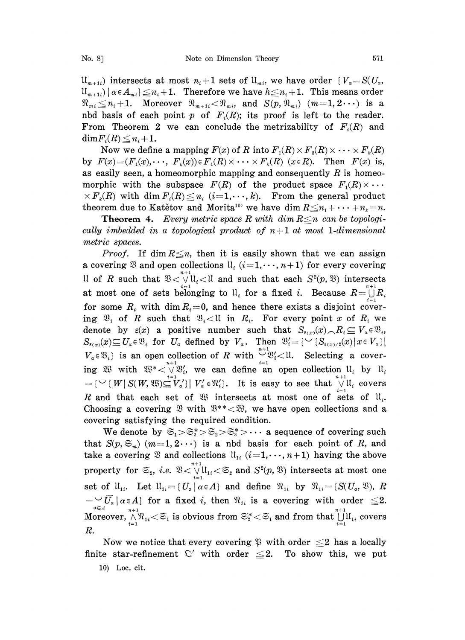$\mathfrak{U}_{m+1}$ ) intersects at most  $n_i+1$  sets of  $\mathfrak{U}_{m}$ , we have order  $\{V_a=S(U_a,$  $\mathcal{H}_{m+1}(|\alpha \in A_{mi}) \leq n_i + 1$ . Therefore we have  $h \leq n_i + 1$ . This means order  $\mathcal{R}_{mi} \leq n_i + 1$ . Moreover  $\mathcal{R}_{m+1i} < \mathcal{R}_{mi}$ , and  $S(p, \mathcal{R}_{mi})$  ( $m=1, 2 \cdots$ ) is a nbd basis of each point p of  $F_i(R)$ ; its proof is left to the reader. From Theorem 2 we can conclude the metrizability of  $F_i(R)$  and  $\dim F_i(R) \leq n_i + 1.$ 

Now we define a mapping  $F(x)$  of R into  $F_1(R) \times F_2(R) \times \cdots \times F_k(R)$ by  $F(x)=(F_1(x),\cdots,F_k(x))\in F_1(R)\times\cdots\times F_k(R)$  ( $x\in R$ ). Then  $F(x)$  is, as easily seen, a homeomorphic mapping and consequently  $R$  is homeomorphic with the subspace  $F(R)$  of the product space  $F_1(R) \times \cdots$  $\times F_k(R)$  with dim  $F_i(R) \leq n_i$  (i=1,..., k). From the general product theorem due to Katětov and Morita<sup>10</sup> we have dim  $R \leq n_1 + \cdots + n_k = n$ .

**Theorem 4.** Every metric space R with  $\dim R \leq n$  can be topologically imbedded in a topological product of  $n+1$  at most 1-dimensional metric spaces.

*Proof.* If dim  $R \leq n$ , then it is easily shown that we can assign a covering  $\mathfrak{B}$  and open collections  $\mathfrak{u}_i$   $(i=1,\dots, n+1)$  for every covering Il of R such that  $\mathfrak{B} < \bigvee^{n+1} \mathfrak{l}_i < \mathfrak{l}$  and such that each  $S^2(p, \mathfrak{B})$  intersects at most one of sets belonging to  $\mathfrak{u}_i$  for a fixed i. Because  $R = \bigcup_{i=1}^{n+1}$ . for some  $R_i$  with dim  $R_i = 0$ , and hence there exists a disjoint cover-<br>ing  $\mathfrak{B}_i$  of R such that  $\mathfrak{B}_i \lt 1$  in  $R_i$ . For every point x of  $R_i$  we<br>denote by  $\varepsilon(x)$  a positive number such that  $S_{\varepsilon(x)}(x) \subset R_i \subset V$ ing  $\mathfrak{B}_i$  of R such that  $\mathfrak{B}_i < \mathfrak{U}$  in  $R_i$ . For every point x of  $R_i$  we denote by  $\varepsilon(x)$  a positive number such that  $S_{\varepsilon(x)}(x) \cap R_i \subseteq V_a \in \mathfrak{B}_i$ ,  $S_{\varepsilon(x)}(x) \subseteq U_a \in \mathfrak{B}_i$  for  $U_a$  defined by  $V_a$ . Then  $\mathfrak{B}'_i = \{ \vee \{S_{\varepsilon(x)/2}(x) \mid x \in V_a\} \}$  $V_a \in \mathfrak{B}_i$  is an open collection of R with  $\bigcup_{i=1}^{n+1} \mathfrak{B}'_i < 1!$ . Selecting a cover-<br>ing  $\mathfrak{B}$  with  $\mathfrak{B}^* < \bigvee_{i=1}^{n+1} \mathfrak{B}'_i$ , we can define an open collection  $\mathfrak{U}_i$  by  $\mathfrak{U}_i$ with  $\mathfrak{B}^* < \bigvee_{i=1}^{n+1} \mathfrak{B}'_i$ , we can define an open collection  $\mathfrak{U}_i$  by  $\mathfrak{U}_i$ <br>  $W | S(W, \mathfrak{B}) \subseteq V_a' | V'_a \in \mathfrak{R}'_i$ . It is easy to see that  $\bigvee_{i=1}^{n+1} \mathfrak{U}_i$  covers R and that each set of  $\mathfrak{B}$  intersects at most one of sets of  $\mathfrak{U}_i$ . Choosing a covering  $\mathfrak{B}$  with  $\mathfrak{B}^{**} < \mathfrak{B}$ , we have open collections and a covering satisfying the required condition.

We denote by  $\mathfrak{S}_1 > \mathfrak{S}_2^* > \mathfrak{S}_3^* > \cdots$  a sequence of covering such that  $S(p,\mathfrak{S}_m)$   $(m=1, 2 \cdots)$  is a nbd basis for each point of R, and take a covering  $\mathfrak{B}$  and collections  $\mathfrak{ll}_{1i}$   $(i=1,\dots, n+1)$  having the above property for  $\mathfrak{S}_2$ , *i.e.*  $\mathfrak{B} < \bigvee_{i=1}^{n+1} \mathfrak{l}_{1i} < \mathfrak{S}_2$  and  $S^2(p, \mathfrak{B})$  intersects at most one set of  $\mathfrak{U}_{1i}$ . Let  $\mathfrak{U}_{1i} = \{U_a \mid \alpha \in A\}$  and define  $\mathfrak{N}_{1i}$  by  $\mathfrak{N}_{1i} = \{S(U_a, \mathfrak{V}), R$  $-\frac{1}{\alpha\epsilon A}\left[\alpha\epsilon A\right]$  for a fixed i, then  $\Re_{1i}$  is a covering with order  $\leq 2$ .  $-\bigcup_{a \in A} U_a |\alpha \in A\}$  for a fixed *i*, then  $\mathfrak{N}_{1i}$  is a covering with order  $\leq 2$ .<br>Moreover,  $\bigwedge_{i=1}^{n+1} \mathfrak{N}_{1i} < \mathfrak{S}_1$  is obvious from  $\mathfrak{S}_2^* < \mathfrak{S}_1$  and from that  $\bigcup_{i=1}^{n+1} \mathfrak{U}_{1i}$  covers R.

Now we notice that every covering  $\mathfrak P$  with order  $\leq 2$  has a locally finite star-refinement  $\mathbb{C}'$  with order  $\leq 2$ . To show this, we put 10 Loc. cit.

10) Loc. cit.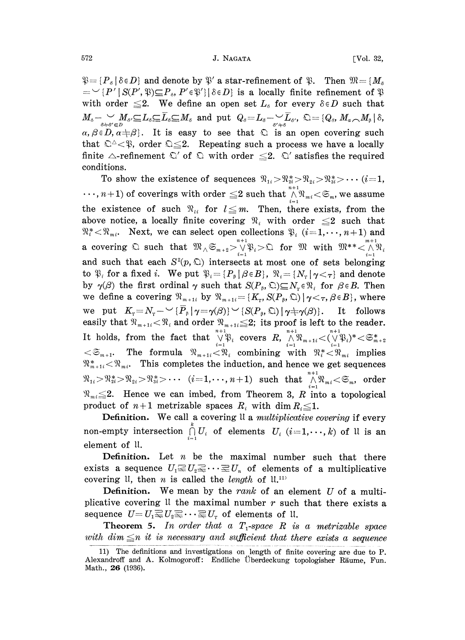$\mathfrak{P} = \{P_s \mid \delta \in D\}$  and denote by  $\mathfrak{P}'$  a star-refinement of  $= \{P' \mid S(P', \mathfrak{P}) \subseteq P_s, P' \in \mathfrak{P}'\} | \delta \in D\}$  is a locally find with order  $\leq 2$ . We define an open set  $L_s$  for example  $M_s - \bigcup_{s+s' \in R} M_{s'} \subseteq L_s \subseteq \overline{$  $\mathfrak{P} = \{P_s \mid \delta \in D\}$  and denote by  $\mathfrak{P}'$  a star-refinement of  $\mathfrak{P}$ . Then  $\mathfrak{M} = \{M_s\}$  $=\forall P'|S(P',\mathfrak{P})\subseteq P_{\delta}, P'\in\mathfrak{P}'|\delta\in D$  is a locally finite refinement of  $\mathfrak{P}$ with order  $\leq 2$ . We define an open set  $L_{\delta}$  for every  $\delta \in D$  such that  $\{A_{\delta}, \emptyset, \emptyset\} \subseteq L_{\delta} \subseteq L_{\delta} \subseteq M_{\delta}$  and put  $Q_{\delta} = L_{\delta} - \bigcup_{\delta',\ast\delta} L_{\delta'}, \emptyset = \{Q_{\delta},\ A_{\delta} \subseteq D, \alpha + \beta\}.$  It is easy to see that  $\bigcirc$  is an open cov  $\bigcirc^{\Delta} \leq \emptyset$ , order  $\bigcirc \leq 2$ . Repeating such a process we ha  $\alpha, \beta \in D, \alpha + \beta$ . It is easy to see that  $\Omega$  is an open covering such that  $\Omega^{\Delta} < \mathfrak{P}$ , order  $\Omega \leq 2$ . Repeating such a process we have a locally finite  $\triangle$ -refinement  $\mathfrak{Q}'$ <br>conditions. of  $\Omega$  with order  $\leq 2$ .  $\Omega'$  satisfies the required conditions.

To show the existence of sequences  $\mathfrak{R}_{1i} > \mathfrak{R}_{2i}^* > \mathfrak{R}_{2i}^* > \cdots$  (i=1,  $\cdots$ ,  $n+1$ ) of coverings with order  $\leq$  2 such that  $\bigwedge_{i=1}^{n+1} \mathfrak{N}_{mi} < \mathfrak{S}_m$ , we assume the existence of such  $\Re_{ti}$  for  $l \leq m$ . Then, there exists, from the above notice, a locally finite covering  $\Re_i$  with order  $\leq 2$  such that  $\mathfrak{R}_i^* < \mathfrak{R}_{mi}$ . Next, we can select open collections  $\mathfrak{P}_i$   $(i=1,\dots, n+1)$  and a covering  $\Omega$  such that  $\mathfrak{M}_{\wedge} \mathfrak{S}_{m+2} > \bigvee_{i=1}^{n+1} \mathfrak{P}_i > \Omega$  for  $\mathfrak{M}$  with  $\mathfrak{M}^{**} < \bigwedge_{i=1}^{m+1}$ and such that each  $S^2(p, \mathbb{Q})$  intersects at most one of sets belonging to  $\mathfrak{P}_i$  for a fixed i. We put  $\mathfrak{P}_i = \{P_\beta \mid \beta \in B\}$ ,  $\mathfrak{P}_i = \{N_\gamma \mid \gamma \leq \tau\}$  and denote by  $\gamma(\beta)$  the first ordinal  $\gamma$  such that  $S(P_\beta, \mathcal{L})\subseteq N_r \in \mathcal{R}_i$  for  $\beta \in B$ . Then we define a covering  $\mathfrak{N}_{m+1i}$  by  $\mathfrak{N}_{m+1i} = {K_r, S(P_\beta, \mathfrak{Q}) | \gamma \lt \tau, \beta \in B}$ , where we put  $K_r = N_r - \sqrt{P_\beta} |\gamma = \gamma(\beta)| \sqrt{S(P_\beta, \mathbb{Q})} |\gamma \pm \gamma(\beta)|$ . It follows easily that  $\mathfrak{N}_{m+1i} < \mathfrak{N}_i$  and order  $\mathfrak{N}_{m+1i} \leq 2$ ; its proof is left to the reader. It holds, from the fact that  $\bigvee_{i=1}^{n+1} \mathfrak{P}_i$  covers  $R$ ,  $\bigwedge_{i=1}^{n+1} \mathfrak{P}_{m+1i} < (\bigvee_{i=1}^{n+1} \mathfrak{P}_i)^*$  $<\mathfrak{S}_{m+1}$ . The formula  $\mathfrak{N}_{m+1}$ ,  $<\mathfrak{N}_i$  combining with  $\mathfrak{N}_i^*$ ,  $\mathfrak{N}_{m}$  implies  $\mathfrak{R}_{m+1i}^* < \mathfrak{R}_{mi}$ . This completes the induction, and hence we get sequences  $\mathbb{R}^{n+1}_{n} < \mathfrak{N}_{m}$ . This completes the induction, and hence we get sequences<br>  $> \mathfrak{N}_{2i}^* > \mathfrak{N}_{2i} > \mathfrak{N}_{3i}^* > \cdots$  ( $i = 1, \cdots, n+1$ ) such that  $\bigwedge_{i=1}^{n+1} \mathfrak{N}_{m_i} < \mathfrak{S}_{m}$ , order  $\mathfrak{R}_{m i} \leq 2$ . Hence we can imbed, from Theorem 3, R into a topological product of  $n+1$  metrizable spaces  $R_i$  with dim  $R_i \leq 1$ .

Definition. We call a covering II a multiplicative covering if every non-empty intersection  $\bigcap_{i=1}^{k} U_i$  of elements  $U_i$   $(i=1,\cdots,k)$  of  $\mathfrak l$  is an element of U.

**Definition.** Let  $n$  be the maximal number such that there exists a sequence  $U_1 \subseteq U_2 \subseteq \cdots \subseteq U_n$  of elements of a multiplicative covering U, then *n* is called the *length* of  $\mathfrak{u}^{\text{11}}$ .

**Definition.** We mean by the rank of an element U of a multiplicative covering  $\mathfrak l$  the maximal number r such that there exists a sequence  $U=U_1\overline{\leq U_2\leq \cdots \leq U_r}$  of elements of U.

**Theorem 5.** In order that a  $T_1$ -space R is a metrizable space with dim  $\leq n$  it is necessary and sufficient that there exists a sequence

<sup>11)</sup> The definitions and investigations on length of finite covering are due to P. Alexandroff and A. Kolmogoroff: Endliche Uberdeckung topologisher Riume, Fun. Math., 26 (1936).